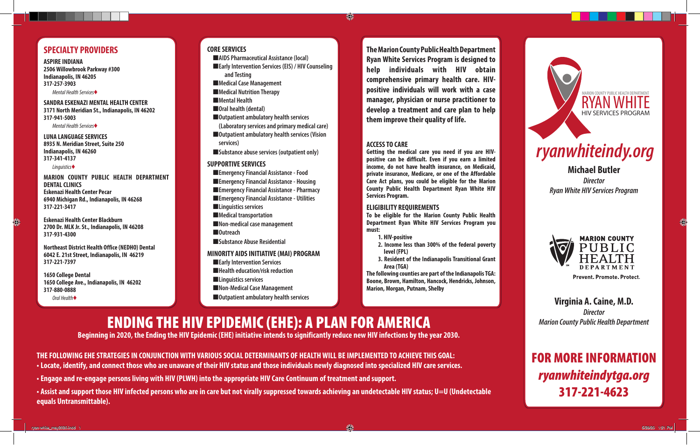# **SPECIALTY PROVIDERS**

**ASPIRE INDIANA 2506 Willowbrook Parkway #300 Indianapolis, IN 46205 317-257-3903** *Mental Health Services*♦

**SANDRA ESKENAZI MENTAL HEALTH CENTER 3171 North Meridian St., Indianapolis, IN 46202 317-941-5003**

*Mental Health Services*♦

**LUNA LANGUAGE SERVICES 8935 N. Meridian Street, Suite 250 Indianapolis, IN 46260 317-341-4137**

*Linguistics*♦

**MARION COUNTY PUBLIC HEALTH DEPARTMENT DENTAL CLINICS Eskenazi Health Center Pecar 6940 Michigan Rd., Indianapolis, IN 46268 317-221-3417**

**Eskenazi Health Center Blackburn 2700 Dr. MLK Jr. St., Indianapolis, IN 46208 317-931-4300**

**Northeast District Health Office (NEDHO) Dental 6042 E. 21st Street, Indianapolis, IN 46219 317-221-7397**

**1650 College Dental 1650 College Ave., Indianapolis, IN 46202 317-880-0888** *Oral Health*♦

#### WHAT ARE THE ELIGIBLE STATES OF THE ELIGIBLE STATES OF THE ELIGIBLE STATES OF THE ELIGIBLE STATES OF THE ELIGIBLE STATES OF THE ELIGIBLE STATES OF THE ELIGIBLE STATES OF THE ELIGIBLE STATES OF THE ELIGIBLE STATES OF THE EL **CORE SERVICES**

**AIDS Pharmaceutical Assistance (local)** ■**Early Intervention Services (EIS) / HIV Counseling and Testing** ■**Medical Case Management** ■**Medical Nutrition Therapy** ■**Mental Health** ■**Oral health (dental)** ■**Outpatient ambulatory health services (Laboratory services and primary medical care)** ■**Outpatient ambulatory health services (Vision services)** ■**Substance abuse services (outpatient only)**

**SUPPORTIVE SERVICES**

- ■**Emergency Financial Assistance Food** ■**Emergency Financial Assistance - Housing** ■**Emergency Financial Assistance - Pharmacy** ■**Emergency Financial Assistance - Utilities** ■**Linguistics services** ■**Medical transportation** ■**Non-medical case management** ■**Outreach** ■**Substance Abuse Residential MINORITY AIDS INITIATIVE (MAI) PROGRAM**
- ■**Early Intervention Services** ■**Health education/risk reduction** ■**Linguistics services** ■**Non-Medical Case Management** ■**Outpatient ambulatory health services**

**The Marion County Public Health Department Ryan White Services Program is designed to help individuals with HIV obtain comprehensive primary health care. HIVpositive individuals will work with a case manager, physician or nurse practitioner to develop a treatment and care plan to help them improve their quality of life.**

# **ACCESS TO CARE**

O)

**Getting the medical care you need if you are HIVpositive can be difficult. Even if you earn a limited income, do not have health insurance, on Medicaid, private insurance, Medicare, or one of the Affordable Care Act plans, you could be eligible for the Marion County Public Health Department Ryan White HIV Services Program.** 

# **ELIGIBILITY REQUIREMENTS**

**To be eligible for the Marion County Public Health Department Ryan White HIV Services Program you must:**

- **1. HIV-positive**
- **2. Income less than 300% of the federal poverty level (FPL)**
- **3. Resident of the Indianapolis Transitional Grant Area (TGA)**

**The following counties are part of the Indianapolis TGA: Boone, Brown, Hamilton, Hancock, Hendricks, Johnson, Marion, Morgan, Putnam, Shelby**

# *ryanwhiteindy.org*

**MARION COUNTY PUBLIC HEALTH DEPARTMENT** 

HIV SERVICES PROGRAM

**RYAN W** 

**Michael Butler** *Director Ryan White HIV Services Program*



**Prevent. Promote. Protect.** 

**Virginia A. Caine, M.D.** *Director Marion County Public Health Department*

# FOR MORE INFORMATION *ryanwhiteindytga.org* 317-221-4623

# ENDING THE HIV EPIDEMIC (EHE): A PLAN FOR AMERICA

**Beginning in 2020, the Ending the HIV Epidemic (EHE) initiative intends to significantly reduce new HIV infections by the year 2030.** 

**THE FOLLOWING EHE STRATEGIES IN CONJUNCTION WITH VARIOUS SOCIAL DETERMINANTS OF HEALTH WILL BE IMPLEMENTED TO ACHIEVE THIS GOAL: • Locate, identify, and connect those who are unaware of their HIV status and those individuals newly diagnosed into specialized HIV care services.** 

**• Engage and re-engage persons living with HIV (PLWH) into the appropriate HIV Care Continuum of treatment and support.** 

**• Assist and support those HIV infected persons who are in care but not virally suppressed towards achieving an undetectable HIV status; U=U (Undetectable equals Untransmittable).**

€